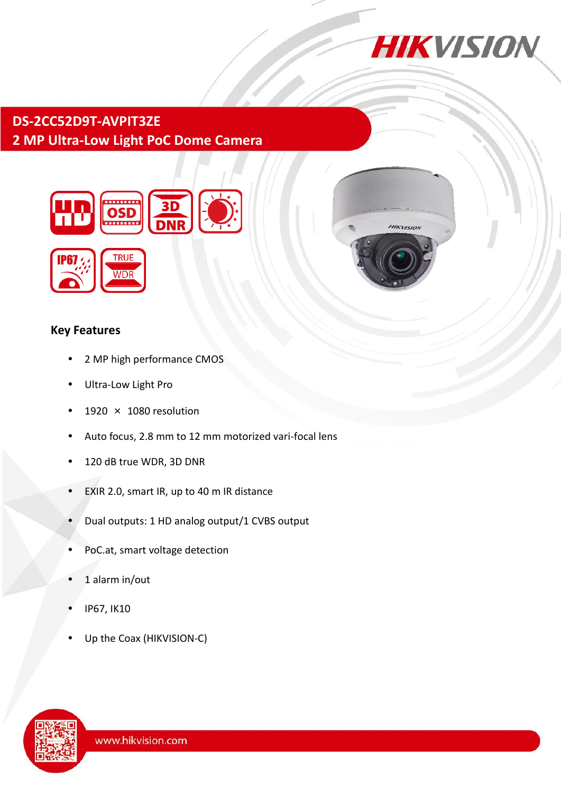

HIKVISION

# **DS-2CC52D9T-AVPIT3ZE 2 MP Ultra-Low Light PoC Dome Camera**



## **Key Features**

- 2 MP high performance CMOS
- Ultra-Low Light Pro
- 1920  $\times$  1080 resolution
- Auto focus, 2.8 mm to 12 mm motorized vari-focal lens
- 120 dB true WDR, 3D DNR
- EXIR 2.0, smart IR, up to 40 m IR distance
- Dual outputs: 1 HD analog output/1 CVBS output
- PoC.at, smart voltage detection
- 1 alarm in/out
- IP67, IK10
- Up the Coax (HIKVISION-C)

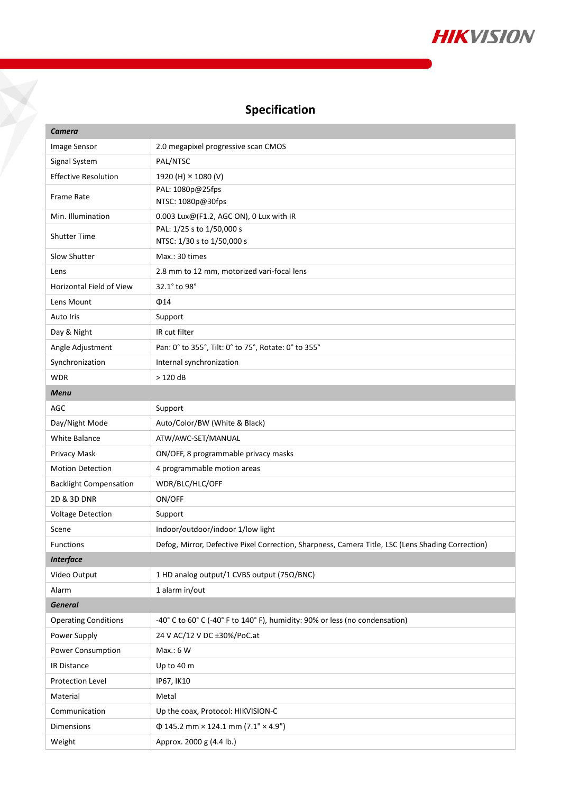

## **Specification**

Y

| Camera                        |                                                                                                   |
|-------------------------------|---------------------------------------------------------------------------------------------------|
| Image Sensor                  | 2.0 megapixel progressive scan CMOS                                                               |
| Signal System                 | PAL/NTSC                                                                                          |
| <b>Effective Resolution</b>   | 1920 (H) × 1080 (V)                                                                               |
| <b>Frame Rate</b>             | PAL: 1080p@25fps<br>NTSC: 1080p@30fps                                                             |
| Min. Illumination             | 0.003 Lux@(F1.2, AGC ON), 0 Lux with IR                                                           |
| <b>Shutter Time</b>           | PAL: 1/25 s to 1/50,000 s<br>NTSC: 1/30 s to 1/50,000 s                                           |
| Slow Shutter                  | Max.: 30 times                                                                                    |
| Lens                          | 2.8 mm to 12 mm, motorized vari-focal lens                                                        |
| Horizontal Field of View      | 32.1° to 98°                                                                                      |
| Lens Mount                    | $\Phi$ 14                                                                                         |
| Auto Iris                     | Support                                                                                           |
| Day & Night                   | IR cut filter                                                                                     |
| Angle Adjustment              | Pan: 0° to 355°, Tilt: 0° to 75°, Rotate: 0° to 355°                                              |
| Synchronization               | Internal synchronization                                                                          |
| <b>WDR</b>                    | >120dB                                                                                            |
| <b>Menu</b>                   |                                                                                                   |
| AGC                           | Support                                                                                           |
| Day/Night Mode                | Auto/Color/BW (White & Black)                                                                     |
| White Balance                 | ATW/AWC-SET/MANUAL                                                                                |
| Privacy Mask                  | ON/OFF, 8 programmable privacy masks                                                              |
| <b>Motion Detection</b>       | 4 programmable motion areas                                                                       |
| <b>Backlight Compensation</b> | WDR/BLC/HLC/OFF                                                                                   |
| 2D & 3D DNR                   | ON/OFF                                                                                            |
| <b>Voltage Detection</b>      | Support                                                                                           |
| Scene                         | Indoor/outdoor/indoor 1/low light                                                                 |
| <b>Functions</b>              | Defog, Mirror, Defective Pixel Correction, Sharpness, Camera Title, LSC (Lens Shading Correction) |
| <b>Interface</b>              |                                                                                                   |
| Video Output                  | 1 HD analog output/1 CVBS output (75Ω/BNC)                                                        |
| Alarm                         | 1 alarm in/out                                                                                    |
| <b>General</b>                |                                                                                                   |
| <b>Operating Conditions</b>   | -40° C to 60° C (-40° F to 140° F), humidity: 90% or less (no condensation)                       |
| Power Supply                  | 24 V AC/12 V DC ±30%/PoC.at                                                                       |
| Power Consumption             | Max.: 6 W                                                                                         |
| <b>IR Distance</b>            | Up to 40 m                                                                                        |
| Protection Level              | IP67, IK10                                                                                        |
| Material                      | Metal                                                                                             |
| Communication                 | Up the coax, Protocol: HIKVISION-C                                                                |
| Dimensions                    | $\Phi$ 145.2 mm × 124.1 mm (7.1" × 4.9")                                                          |
| Weight                        | Approx. 2000 g (4.4 lb.)                                                                          |